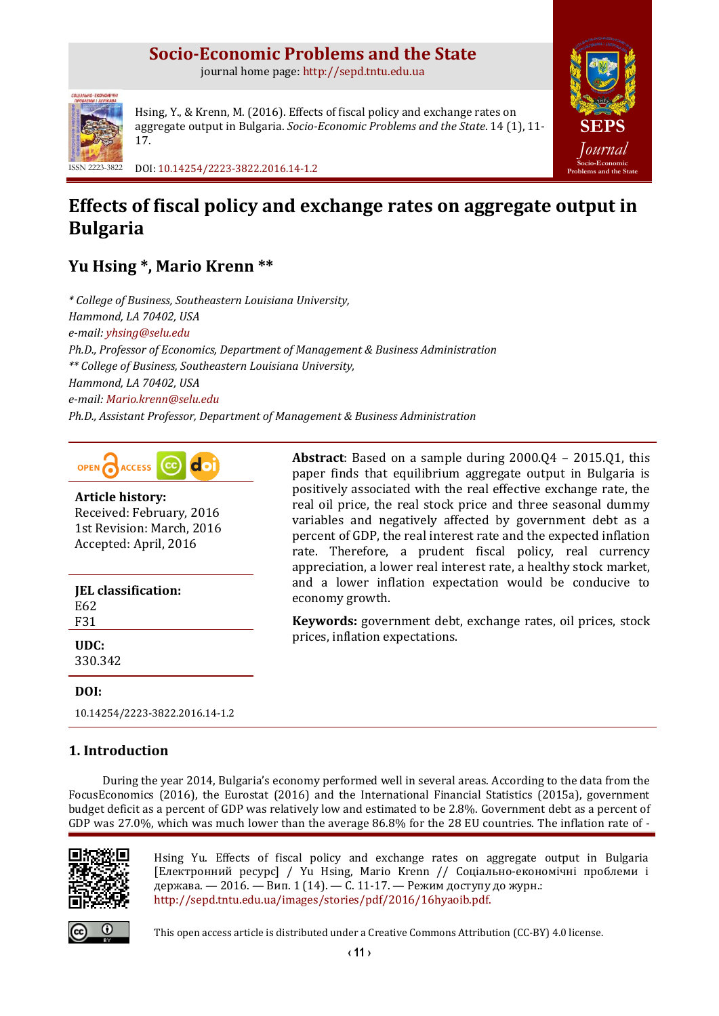# **Socio-Economic Problems and the State**

journal home page: [http://sepd.tntu.edu.ua](http://sepd.tntu.edu.ua/)



Hsing, Y., & Krenn, M. (2016). Effects of fiscal policy and exchange rates on aggregate output in Bulgaria. *Socio-Economic Problems and the State*. 14 (1), 11- 17.

ISSN 2223-3822 DOI[: 10.14254/2223-3822.2016.14-1.2](http://dx.doi.org/10.14254/2223-3822.2016.14-1.2)

# **Effects of fiscal policy and exchange rates on aggregate output in Bulgaria**

# **Yu Hsing \*, Mario Krenn \*\***

*\* College of Business, Southeastern Louisiana University, Hammond, LA 70402, USA e-mail: [yhsing@selu.edu](mailto:yhsing@selu.edu) Ph.D., Professor of Economics, Department of Management & Business Administration \*\* College of Business, Southeastern Louisiana University, Hammond, LA 70402, USA e-mail: [Mario.krenn@selu.edu](mailto:Mario.krenn@selu.edu) Ph.D., Assistant Professor, Department of Management & Business Administration*



**Article history:** Received: February, 2016 1st Revision: March, 2016 Accepted: April, 2016

**JEL classification:** E62 F31 **UDC:** 330.342

paper finds that equilibrium aggregate output in Bulgaria is positively associated with the real effective exchange rate, the real oil price, the real stock price and three seasonal dummy variables and negatively affected by government debt as a percent of GDP, the real interest rate and the expected inflation rate. Therefore, a prudent fiscal policy, real currency appreciation, a lower real interest rate, a healthy stock market, and a lower inflation expectation would be conducive to economy growth.

**Keywords:** government debt, exchange rates, oil prices, stock prices, inflation expectations.

**Abstract**: Based on a sample during 2000.Q4 – 2015.Q1, this

**[SEPS](http://sepd.tntu.edu.ua/)** *[Journal](http://sepd.tntu.edu.ua/)* **[Socio-Economic](http://sepd.tntu.edu.ua/)  [Problems and the State](http://sepd.tntu.edu.ua/)**

## **DOI:**

[10.14254/2223-3822.2016.14-1.2](http://dx.doi.org/10.14254/2223-3822.2016.14-1.1)

# **1. Introduction**

During the year 2014, Bulgaria's economy performed well in several areas. According to the data from the FocusEconomics (2016), the Eurostat (2016) and the International Financial Statistics (2015a), government budget deficit as a percent of GDP was relatively low and estimated to be 2.8%. Government debt as a percent of GDP was 27.0%, which was much lower than the average 86.8% for the 28 EU countries. The inflation rate of -



Hsing Yu. Effects of fiscal policy and exchange rates on aggregate output in Bulgaria [Електронний ресурс] / Yu Hsing, Mario Krenn // Соціально-економічні проблеми і держава. — 2016. — Вип. 1 (14). — С. 11-17. — Режим доступу до журн.: [http://sepd.tntu.edu.ua/images/stories/pdf/2016/16hyaoib.pdf.](http://sepd.tntu.edu.ua/images/stories/pdf/2016/16hyaoib.pdf)



This open access article is distributed under [a Creative Commons Attribution \(CC-BY\) 4.0 license.](http://creativecommons.org/licenses/by/4.0/)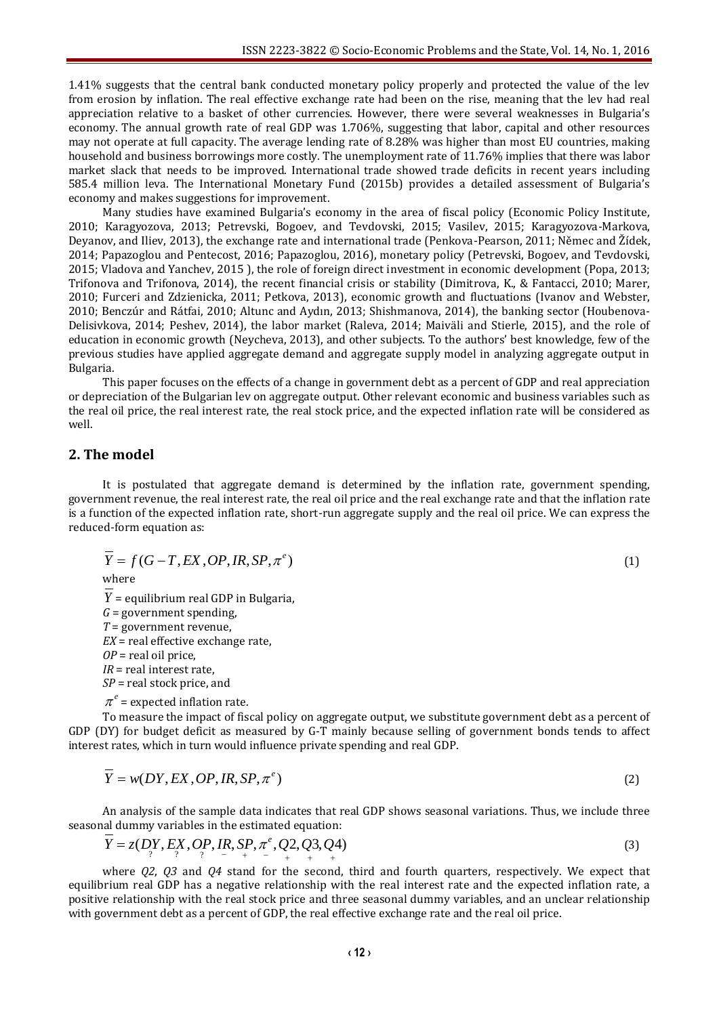1.41% suggests that the central bank conducted monetary policy properly and protected the value of the lev from erosion by inflation. The real effective exchange rate had been on the rise, meaning that the lev had real appreciation relative to a basket of other currencies. However, there were several weaknesses in Bulgaria's economy. The annual growth rate of real GDP was 1.706%, suggesting that labor, capital and other resources may not operate at full capacity. The average lending rate of 8.28% was higher than most EU countries, making household and business borrowings more costly. The unemployment rate of 11.76% implies that there was labor market slack that needs to be improved. International trade showed trade deficits in recent years including 585.4 million leva. The International Monetary Fund (2015b) provides a detailed assessment of Bulgaria's economy and makes suggestions for improvement.

Many studies have examined Bulgaria's economy in the area of fiscal policy (Economic Policy Institute, 2010; Karagyozova, 2013; Petrevski, Bogoev, and Tevdovski, 2015; Vasilev, 2015; Karagyozova-Markova, Deyanov, and Iliev, 2013), the exchange rate and international trade (Penkova-Pearson, 2011; Němec and Žídek, 2014; Papazoglou and Pentecost, 2016; Papazoglou, 2016), monetary policy (Petrevski, Bogoev, and Tevdovski, 2015; Vladova and Yanchev, 2015 ), the role of foreign direct investment in economic development (Popa, 2013; Trifonova and Trifonova, 2014), the recent financial crisis or stability (Dimitrova, K., & Fantacci, 2010; Marer, 2010; Furceri and Zdzienicka, 2011; Petkova, 2013), economic growth and fluctuations (Ivanov and Webster, 2010; Benczúr and Rátfai, 2010; Altunc and Aydın, 2013; Shishmanova, 2014), the banking sector (Houbenova-Delisivkova, 2014; Peshev, 2014), the labor market (Raleva, 2014; Maiväli and Stierle, 2015), and the role of education in economic growth (Neycheva, 2013), and other subjects. To the authors' best knowledge, few of the previous studies have applied aggregate demand and aggregate supply model in analyzing aggregate output in Bulgaria.

This paper focuses on the effects of a change in government debt as a percent of GDP and real appreciation or depreciation of the Bulgarian lev on aggregate output. Other relevant economic and business variables such as the real oil price, the real interest rate, the real stock price, and the expected inflation rate will be considered as well.

## **2. The model**

It is postulated that aggregate demand is determined by the inflation rate, government spending, government revenue, the real interest rate, the real oil price and the real exchange rate and that the inflation rate is a function of the expected inflation rate, short-run aggregate supply and the real oil price. We can express the reduced-form equation as:

$$
\overline{Y} = f(G - T, EX, OP, IR, SP, \pi^e)
$$
\n(1)

where

*Y* = equilibrium real GDP in Bulgaria, *G* = government spending, *T* = government revenue, *EX* = real effective exchange rate, *OP* = real oil price, *IR* = real interest rate, *SP* = real stock price, and  $\pi^e$  = expected inflation rate.

To measure the impact of fiscal policy on aggregate output, we substitute government debt as a percent of GDP (DY) for budget deficit as measured by G-T mainly because selling of government bonds tends to affect interest rates, which in turn would influence private spending and real GDP.

$$
\overline{Y} = w(DY, EX, OP, IR, SP, \pi^e)
$$
\n(2)

An analysis of the sample data indicates that real GDP shows seasonal variations. Thus, we include three seasonal dummy variables in the estimated equation:

$$
\overline{Y} = z(D_{\gamma}^{Y}, E_{\gamma}^{X}, OP, IR, SP, \pi^{e}, Q^{2}, Q^{3}, Q^{4})
$$
\n(3)

where *Q2*, *Q3* and *Q4* stand for the second, third and fourth quarters, respectively. We expect that equilibrium real GDP has a negative relationship with the real interest rate and the expected inflation rate, a positive relationship with the real stock price and three seasonal dummy variables, and an unclear relationship with government debt as a percent of GDP, the real effective exchange rate and the real oil price.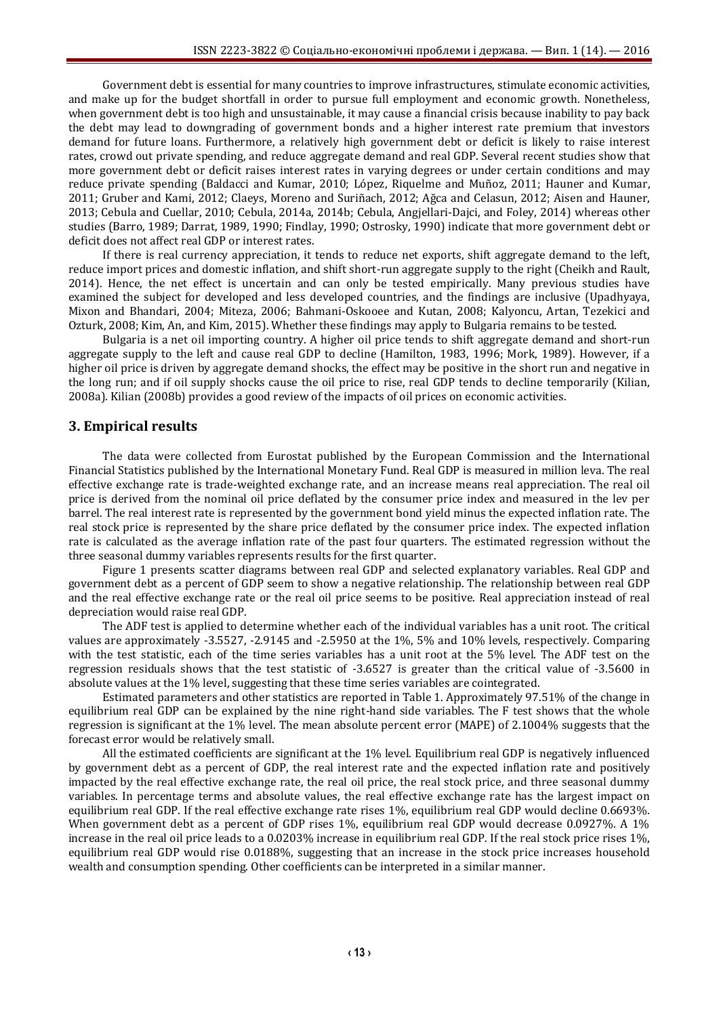Government debt is essential for many countries to improve infrastructures, stimulate economic activities, and make up for the budget shortfall in order to pursue full employment and economic growth. Nonetheless, when government debt is too high and unsustainable, it may cause a financial crisis because inability to pay back the debt may lead to downgrading of government bonds and a higher interest rate premium that investors demand for future loans. Furthermore, a relatively high government debt or deficit is likely to raise interest rates, crowd out private spending, and reduce aggregate demand and real GDP. Several recent studies show that more government debt or deficit raises interest rates in varying degrees or under certain conditions and may reduce private spending (Baldacci and Kumar, 2010; López, Riquelme and Muñoz, 2011; Hauner and Kumar, 2011; Gruber and Kami, 2012; Claeys, Moreno and Suriñach, 2012; Ağca and Celasun, 2012; Aisen and Hauner, 2013; Cebula and Cuellar, 2010; Cebula, 2014a, 2014b; Cebula, Angjellari-Dajci, and Foley, 2014) whereas other studies (Barro, 1989; Darrat, 1989, 1990; Findlay, 1990; Ostrosky, 1990) indicate that more government debt or deficit does not affect real GDP or interest rates.

If there is real currency appreciation, it tends to reduce net exports, shift aggregate demand to the left, reduce import prices and domestic inflation, and shift short-run aggregate supply to the right (Cheikh and Rault, 2014). Hence, the net effect is uncertain and can only be tested empirically. Many previous studies have examined the subject for developed and less developed countries, and the findings are inclusive (Upadhyaya, Mixon and Bhandari, 2004; Miteza, 2006; Bahmani-Oskooee and Kutan, 2008; Kalyoncu, Artan, Tezekici and Ozturk, 2008; Kim, An, and Kim, 2015). Whether these findings may apply to Bulgaria remains to be tested.

Bulgaria is a net oil importing country. A higher oil price tends to shift aggregate demand and short-run aggregate supply to the left and cause real GDP to decline (Hamilton, 1983, 1996; Mork, 1989). However, if a higher oil price is driven by aggregate demand shocks, the effect may be positive in the short run and negative in the long run; and if oil supply shocks cause the oil price to rise, real GDP tends to decline temporarily (Kilian, 2008a). Kilian (2008b) provides a good review of the impacts of oil prices on economic activities.

#### **3. Empirical results**

The data were collected from Eurostat published by the European Commission and the International Financial Statistics published by the International Monetary Fund. Real GDP is measured in million leva. The real effective exchange rate is trade-weighted exchange rate, and an increase means real appreciation. The real oil price is derived from the nominal oil price deflated by the consumer price index and measured in the lev per barrel. The real interest rate is represented by the government bond yield minus the expected inflation rate. The real stock price is represented by the share price deflated by the consumer price index. The expected inflation rate is calculated as the average inflation rate of the past four quarters. The estimated regression without the three seasonal dummy variables represents results for the first quarter.

Figure 1 presents scatter diagrams between real GDP and selected explanatory variables. Real GDP and government debt as a percent of GDP seem to show a negative relationship. The relationship between real GDP and the real effective exchange rate or the real oil price seems to be positive. Real appreciation instead of real depreciation would raise real GDP.

The ADF test is applied to determine whether each of the individual variables has a unit root. The critical values are approximately -3.5527, -2.9145 and -2.5950 at the 1%, 5% and 10% levels, respectively. Comparing with the test statistic, each of the time series variables has a unit root at the 5% level. The ADF test on the regression residuals shows that the test statistic of -3.6527 is greater than the critical value of -3.5600 in absolute values at the 1% level, suggesting that these time series variables are cointegrated.

Estimated parameters and other statistics are reported in Table 1. Approximately 97.51% of the change in equilibrium real GDP can be explained by the nine right-hand side variables. The F test shows that the whole regression is significant at the 1% level. The mean absolute percent error (MAPE) of 2.1004% suggests that the forecast error would be relatively small.

All the estimated coefficients are significant at the 1% level. Equilibrium real GDP is negatively influenced by government debt as a percent of GDP, the real interest rate and the expected inflation rate and positively impacted by the real effective exchange rate, the real oil price, the real stock price, and three seasonal dummy variables. In percentage terms and absolute values, the real effective exchange rate has the largest impact on equilibrium real GDP. If the real effective exchange rate rises 1%, equilibrium real GDP would decline 0.6693%. When government debt as a percent of GDP rises 1%, equilibrium real GDP would decrease 0.0927%. A 1% increase in the real oil price leads to a 0.0203% increase in equilibrium real GDP. If the real stock price rises 1%, equilibrium real GDP would rise 0.0188%, suggesting that an increase in the stock price increases household wealth and consumption spending. Other coefficients can be interpreted in a similar manner.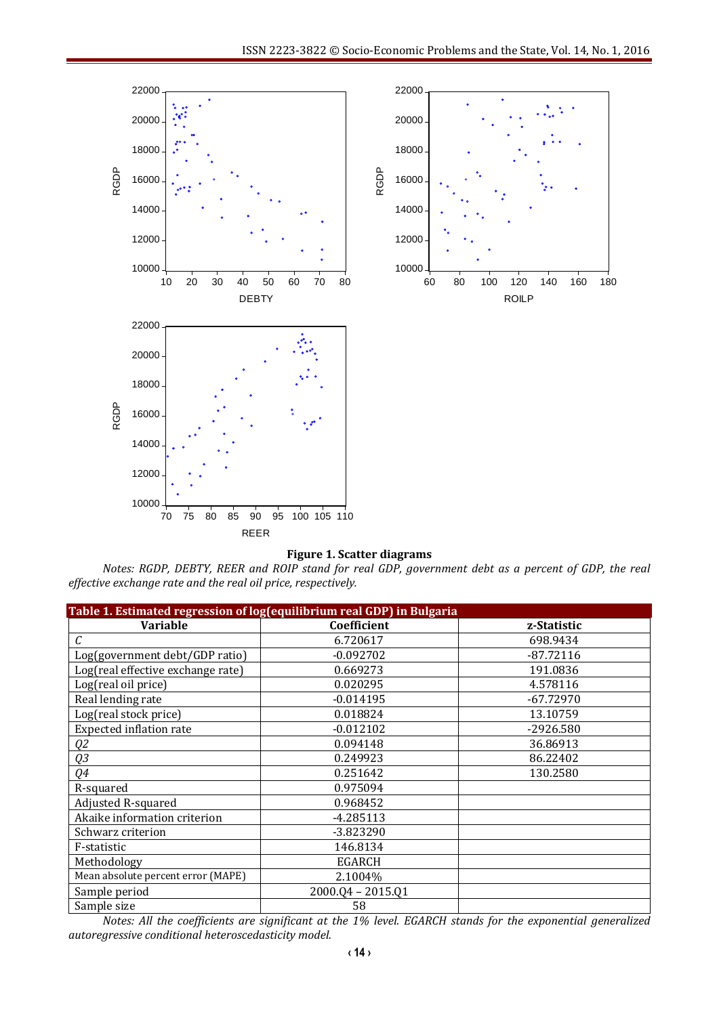

#### **Figure 1. Scatter diagrams**

*Notes: RGDP, DEBTY, REER and ROIP stand for real GDP, government debt as a percent of GDP, the real effective exchange rate and the real oil price, respectively.*

| Table 1. Estimated regression of log(equilibrium real GDP) in Bulgaria |                   |             |
|------------------------------------------------------------------------|-------------------|-------------|
| <b>Variable</b>                                                        | Coefficient       | z-Statistic |
| С                                                                      | 6.720617          | 698.9434    |
| Log(government debt/GDP ratio)                                         | $-0.092702$       | $-87.72116$ |
| Log(real effective exchange rate)                                      | 0.669273          | 191.0836    |
| Log(real oil price)                                                    | 0.020295          | 4.578116    |
| Real lending rate                                                      | $-0.014195$       | $-67.72970$ |
| Log(real stock price)                                                  | 0.018824          | 13.10759    |
| Expected inflation rate                                                | $-0.012102$       | -2926.580   |
| Q2                                                                     | 0.094148          | 36.86913    |
| Q3                                                                     | 0.249923          | 86.22402    |
| Q4                                                                     | 0.251642          | 130.2580    |
| R-squared                                                              | 0.975094          |             |
| Adjusted R-squared                                                     | 0.968452          |             |
| Akaike information criterion                                           | $-4.285113$       |             |
| Schwarz criterion                                                      | $-3.823290$       |             |
| F-statistic                                                            | 146.8134          |             |
| Methodology                                                            | EGARCH            |             |
| Mean absolute percent error (MAPE)                                     | 2.1004%           |             |
| Sample period                                                          | 2000.Q4 - 2015.Q1 |             |
| Sample size                                                            | 58                |             |

*Notes: All the coefficients are significant at the 1% level. EGARCH stands for the exponential generalized autoregressive conditional heteroscedasticity model.*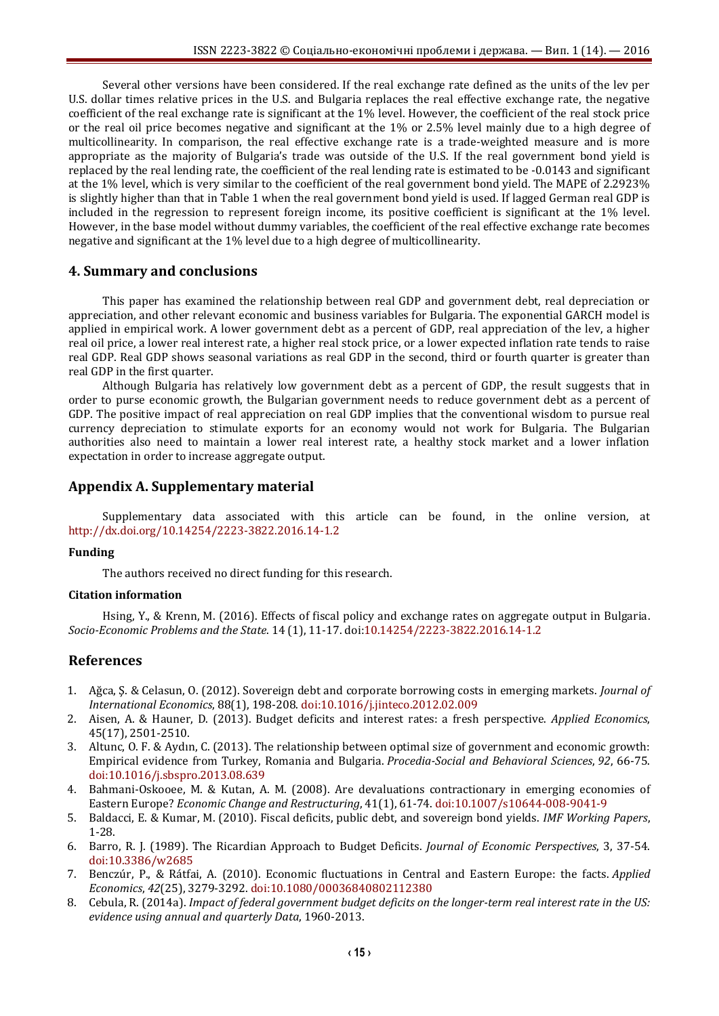Several other versions have been considered. If the real exchange rate defined as the units of the lev per U.S. dollar times relative prices in the U.S. and Bulgaria replaces the real effective exchange rate, the negative coefficient of the real exchange rate is significant at the 1% level. However, the coefficient of the real stock price or the real oil price becomes negative and significant at the 1% or 2.5% level mainly due to a high degree of multicollinearity. In comparison, the real effective exchange rate is a trade-weighted measure and is more appropriate as the majority of Bulgaria's trade was outside of the U.S. If the real government bond yield is replaced by the real lending rate, the coefficient of the real lending rate is estimated to be -0.0143 and significant at the 1% level, which is very similar to the coefficient of the real government bond yield. The MAPE of 2.2923% is slightly higher than that in Table 1 when the real government bond yield is used. If lagged German real GDP is included in the regression to represent foreign income, its positive coefficient is significant at the 1% level. However, in the base model without dummy variables, the coefficient of the real effective exchange rate becomes negative and significant at the 1% level due to a high degree of multicollinearity.

### **4. Summary and conclusions**

This paper has examined the relationship between real GDP and government debt, real depreciation or appreciation, and other relevant economic and business variables for Bulgaria. The exponential GARCH model is applied in empirical work. A lower government debt as a percent of GDP, real appreciation of the lev, a higher real oil price, a lower real interest rate, a higher real stock price, or a lower expected inflation rate tends to raise real GDP. Real GDP shows seasonal variations as real GDP in the second, third or fourth quarter is greater than real GDP in the first quarter.

Although Bulgaria has relatively low government debt as a percent of GDP, the result suggests that in order to purse economic growth, the Bulgarian government needs to reduce government debt as a percent of GDP. The positive impact of real appreciation on real GDP implies that the conventional wisdom to pursue real currency depreciation to stimulate exports for an economy would not work for Bulgaria. The Bulgarian authorities also need to maintain a lower real interest rate, a healthy stock market and a lower inflation expectation in order to increase aggregate output.

### **Appendix A. Supplementary material**

Supplementary data associated with this article can be found, in the online version, at <http://dx.doi.org/10.14254/2223-3822.2016.14-1.2>

#### **Funding**

The authors received no direct funding for this research.

#### **Citation information**

Hsing, Y., & Krenn, M. (2016). Effects of fiscal policy and exchange rates on aggregate output in Bulgaria. *Socio-Economic Problems and the State*. 14 (1), 11-17[. doi:10.14254/2223-3822.2016.14-1.2](http://dx.doi.org/10.14254/2223-3822.2016.14-1.2)

### **References**

- 1. Ağca, Ş. & Celasun, O. (2012). Sovereign debt and corporate borrowing costs in emerging markets. *Journal of International Economics*, 88(1), 198-208. [doi:10.1016/j.jinteco.2012.02.009](http://dx.doi.org/10.1016/j.jinteco.2012.02.009)
- 2. Aisen, A. & Hauner, D. (2013). Budget deficits and interest rates: a fresh perspective. *Applied Economics*, 45(17), 2501-2510.
- 3. Altunc, O. F. & Aydın, C. (2013). The relationship between optimal size of government and economic growth: Empirical evidence from Turkey, Romania and Bulgaria. *Procedia-Social and Behavioral Sciences*, *92*, 66-75. [doi:10.1016/j.sbspro.2013.08.639](http://dx.doi.org/10.1016/j.sbspro.2013.08.639)
- 4. Bahmani-Oskooee, M. & Kutan, A. M. (2008). Are devaluations contractionary in emerging economies of Eastern Europe? *Economic Change and Restructuring*, 41(1), 61-74. [doi:10.1007/s10644-008-9041-9](http://dx.doi.org/10.1007/s10644-008-9041-9)
- 5. Baldacci, E. & Kumar, M. (2010). Fiscal deficits, public debt, and sovereign bond yields. *IMF Working Papers*, 1-28.
- 6. Barro, R. J. (1989). The Ricardian Approach to Budget Deficits. *Journal of Economic Perspectives*, 3, 37-54. [doi:10.3386/w2685](http://dx.doi.org/10.3386/w2685)
- 7. Benczúr, P., & Rátfai, A. (2010). Economic fluctuations in Central and Eastern Europe: the facts. *Applied Economics*, *42*(25), 3279-3292. [doi:10.1080/00036840802112380](http://dx.doi.org/10.1080/00036840802112380)
- 8. Cebula, R. (2014a). *Impact of federal government budget deficits on the longer-term real interest rate in the US: evidence using annual and quarterly Data*, 1960-2013.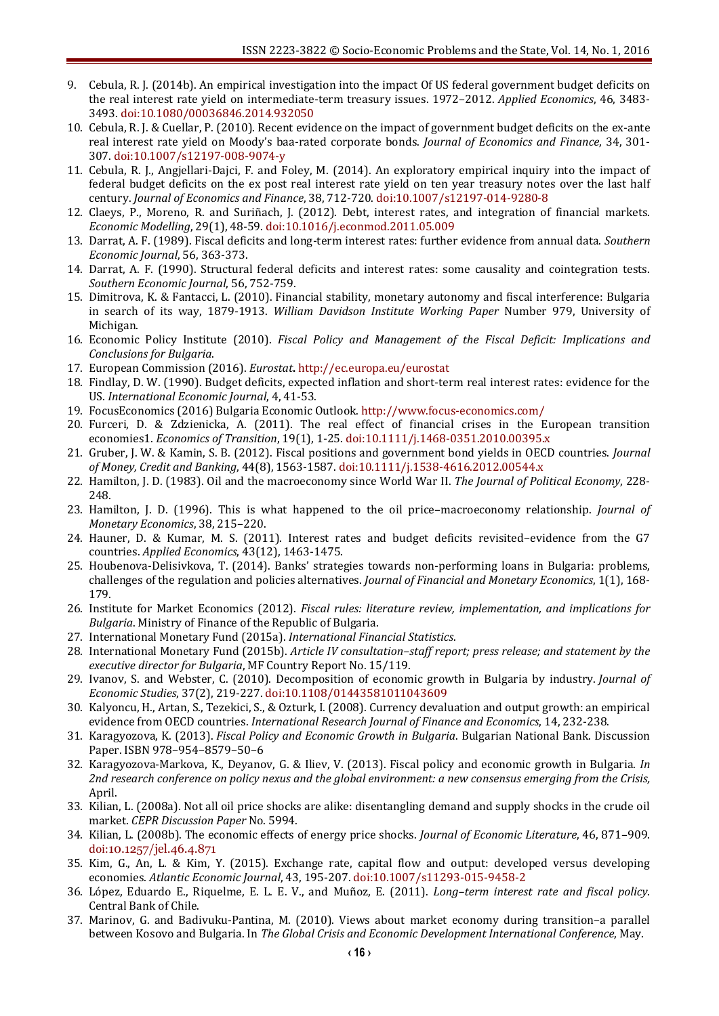- 9. Cebula, R. J. (2014b). An empirical investigation into the impact Of US federal government budget deficits on the real interest rate yield on intermediate-term treasury issues. 1972–2012. *Applied Economics*, 46, 3483- 3493. [doi:10.1080/00036846.2014.932050](http://dx.doi.org/10.1080/00036846.2014.932050)
- 10. Cebula, R. J. & Cuellar, P. (2010). Recent evidence on the impact of government budget deficits on the ex-ante real interest rate yield on Moody's baa-rated corporate bonds. *Journal of Economics and Finance*, 34, 301- 307. [doi:10.1007/s12197-008-9074-y](http://dx.doi.org/10.1007/s12197-008-9074-y)
- 11. Cebula, R. J., Angjellari-Dajci, F. and Foley, M. (2014). An exploratory empirical inquiry into the impact of federal budget deficits on the ex post real interest rate yield on ten year treasury notes over the last half century. *Journal of Economics and Finance*, 38, 712-720. [doi:10.1007/s12197-014-9280-8](http://dx.doi.org/10.1007/s12197-014-9280-8)
- 12. Claeys, P., Moreno, R. and Suriñach, J. (2012). Debt, interest rates, and integration of financial markets. *Economic Modelling*, 29(1), 48-59. [doi:10.1016/j.econmod.2011.05.009](http://dx.doi.org/10.1016/j.econmod.2011.05.009)
- 13. Darrat, A. F. (1989). Fiscal deficits and long-term interest rates: further evidence from annual data. *Southern Economic Journal*, 56, 363-373.
- 14. Darrat, A. F. (1990). Structural federal deficits and interest rates: some causality and cointegration tests. *Southern Economic Journal*, 56, 752-759.
- 15. Dimitrova, K. & Fantacci, L. (2010). Financial stability, monetary autonomy and fiscal interference: Bulgaria in search of its way, 1879-1913. *William Davidson Institute Working Paper* Number 979, University of Michigan.
- 16. Economic Policy Institute (2010). *Fiscal Policy and Management of the Fiscal Deficit: Implications and Conclusions for Bulgaria*.
- 17. European Commission (2016). *Eurostat***.** <http://ec.europa.eu/eurostat>
- 18. Findlay, D. W. (1990). Budget deficits, expected inflation and short-term real interest rates: evidence for the US. *International Economic Journal*, 4, 41-53.
- 19. FocusEconomics (2016) Bulgaria Economic Outlook[. http://www.focus-economics.com/](http://www.focus-economics.com/)
- 20. Furceri, D. & Zdzienicka, A. (2011). The real effect of financial crises in the European transition economies1. *Economics of Transition*, 19(1), 1-25. [doi:10.1111/j.1468-0351.2010.00395.x](http://dx.doi.org/10.1111/j.1468-0351.2010.00395.x)
- 21. Gruber, J. W. & Kamin, S. B. (2012). Fiscal positions and government bond yields in OECD countries. *Journal of Money, Credit and Banking*, 44(8), 1563-1587. [doi:10.1111/j.1538-4616.2012.00544.x](http://dx.doi.org/10.1111/j.1538-4616.2012.00544.x)
- 22. Hamilton, J. D. (1983). Oil and the macroeconomy since World War II. *The Journal of Political Economy*, 228- 248.
- 23. Hamilton, J. D. (1996). This is what happened to the oil price–macroeconomy relationship. *Journal of Monetary Economics*, 38, 215–220.
- 24. Hauner, D. & Kumar, M. S. (2011). Interest rates and budget deficits revisited–evidence from the G7 countries. *Applied Economics*, 43(12), 1463-1475.
- 25. Houbenova-Delisivkova, T. (2014). Banks' strategies towards non-performing loans in Bulgaria: problems, challenges of the regulation and policies alternatives. *Journal of Financial and Monetary Economics*, 1(1), 168- 179.
- 26. Institute for Market Economics (2012). *Fiscal rules: literature review, implementation, and implications for Bulgaria*. Ministry of Finance of the Republic of Bulgaria.
- 27. International Monetary Fund (2015a). *International Financial Statistics*.
- 28. International Monetary Fund (2015b). *Article IV consultation–staff report; press release; and statement by the executive director for Bulgaria*, MF Country Report No. 15/119.
- 29. Ivanov, S. and Webster, C. (2010). Decomposition of economic growth in Bulgaria by industry. *Journal of Economic Studies*, 37(2), 219-227. [doi:10.1108/01443581011043609](http://dx.doi.org/10.1108/01443581011043609)
- 30. Kalyoncu, H., Artan, S., Tezekici, S., & Ozturk, I. (2008). Currency devaluation and output growth: an empirical evidence from OECD countries. *International Research Journal of Finance and Economics*, 14, 232-238.
- 31. Karagyozova, K. (2013). *Fiscal Policy and Economic Growth in Bulgaria*. Bulgarian National Bank. Discussion Paper. ISBN 978–954–8579–50–6
- 32. Karagyozova-Markova, K., Deyanov, G. & Iliev, V. (2013). Fiscal policy and economic growth in Bulgaria. *In 2nd research conference on policy nexus and the global environment: a new consensus emerging from the Crisis,*  April.
- 33. Kilian, L. (2008a). Not all oil price shocks are alike: disentangling demand and supply shocks in the crude oil market. *CEPR Discussion Paper* No. 5994.
- 34. Kilian, L. (2008b). The economic effects of energy price shocks. *Journal of Economic Literature*, 46, 871–909. doi:[10.1257/jel.46.4.871](http://dx.doi.org/10.1257/jel.46.4.871)
- 35. Kim, G., An, L. & Kim, Y. (2015). Exchange rate, capital flow and output: developed versus developing economies. *Atlantic Economic Journal*, 43, 195-207. [doi:10.1007/s11293-015-9458-2](http://dx.doi.org/10.1007/s11293-015-9458-2)
- 36. López, Eduardo E., Riquelme, E. L. E. V., and Muñoz, E. (2011). *Long–term interest rate and fiscal policy*. Central Bank of Chile.
- 37. Marinov, G. and Badivuku-Pantina, M. (2010). Views about market economy during transition–a parallel between Kosovo and Bulgaria. In *The Global Crisis and Economic Development International Conference*, May.